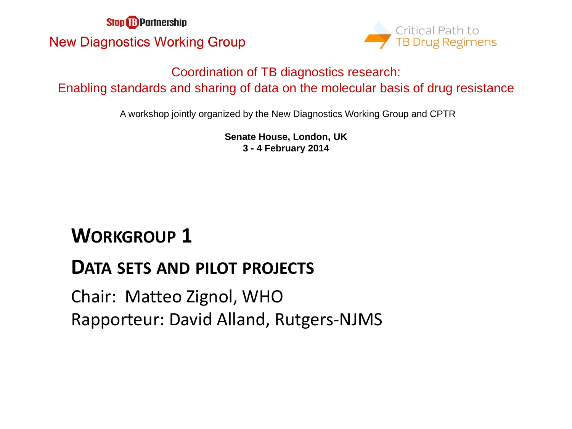**Stop & Partnership New Diagnostics Working Group** 



#### Coordination of TB diagnostics research: Enabling standards and sharing of data on the molecular basis of drug resistance

A workshop jointly organized by the New Diagnostics Working Group and CPTR

**Senate House, London, UK 3 - 4 February 2014**

# **WORKGROUP 1**

## **DATA SETS AND PILOT PROJECTS**

Chair: Matteo Zignol, WHO Rapporteur: David Alland, Rutgers-NJMS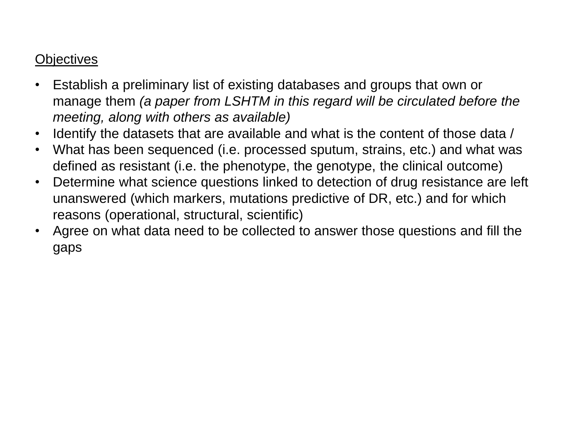#### **Objectives**

- Establish a preliminary list of existing databases and groups that own or manage them *(a paper from LSHTM in this regard will be circulated before the meeting, along with others as available)*
- Identify the datasets that are available and what is the content of those data /
- What has been sequenced (i.e. processed sputum, strains, etc.) and what was defined as resistant (i.e. the phenotype, the genotype, the clinical outcome)
- Determine what science questions linked to detection of drug resistance are left unanswered (which markers, mutations predictive of DR, etc.) and for which reasons (operational, structural, scientific)
- Agree on what data need to be collected to answer those questions and fill the gaps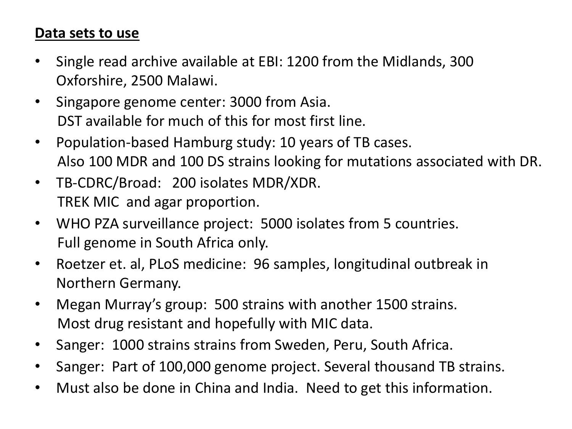#### **Data sets to use**

- Single read archive available at EBI: 1200 from the Midlands, 300 Oxforshire, 2500 Malawi.
- Singapore genome center: 3000 from Asia. DST available for much of this for most first line.
- Population-based Hamburg study: 10 years of TB cases. Also 100 MDR and 100 DS strains looking for mutations associated with DR.
- TB-CDRC/Broad: 200 isolates MDR/XDR. TREK MIC and agar proportion.
- WHO PZA surveillance project: 5000 isolates from 5 countries. Full genome in South Africa only.
- Roetzer et. al, PLoS medicine: 96 samples, longitudinal outbreak in Northern Germany.
- Megan Murray's group: 500 strains with another 1500 strains. Most drug resistant and hopefully with MIC data.
- Sanger: 1000 strains strains from Sweden, Peru, South Africa.
- Sanger: Part of 100,000 genome project. Several thousand TB strains.
- Must also be done in China and India. Need to get this information.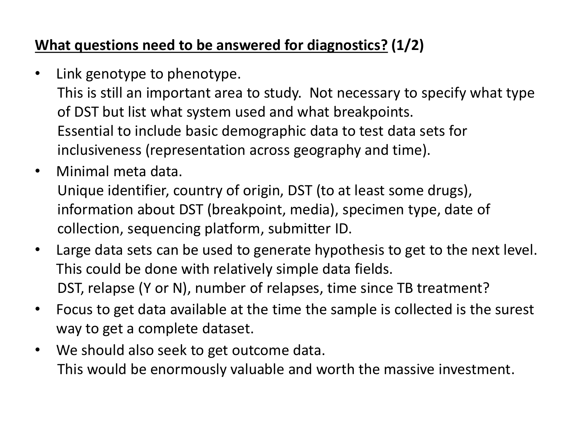## **What questions need to be answered for diagnostics? (1/2)**

- Link genotype to phenotype. This is still an important area to study. Not necessary to specify what type of DST but list what system used and what breakpoints. Essential to include basic demographic data to test data sets for inclusiveness (representation across geography and time).
- Minimal meta data. Unique identifier, country of origin, DST (to at least some drugs), information about DST (breakpoint, media), specimen type, date of collection, sequencing platform, submitter ID.
- Large data sets can be used to generate hypothesis to get to the next level. This could be done with relatively simple data fields. DST, relapse (Y or N), number of relapses, time since TB treatment?
- Focus to get data available at the time the sample is collected is the surest way to get a complete dataset.
- We should also seek to get outcome data. This would be enormously valuable and worth the massive investment.